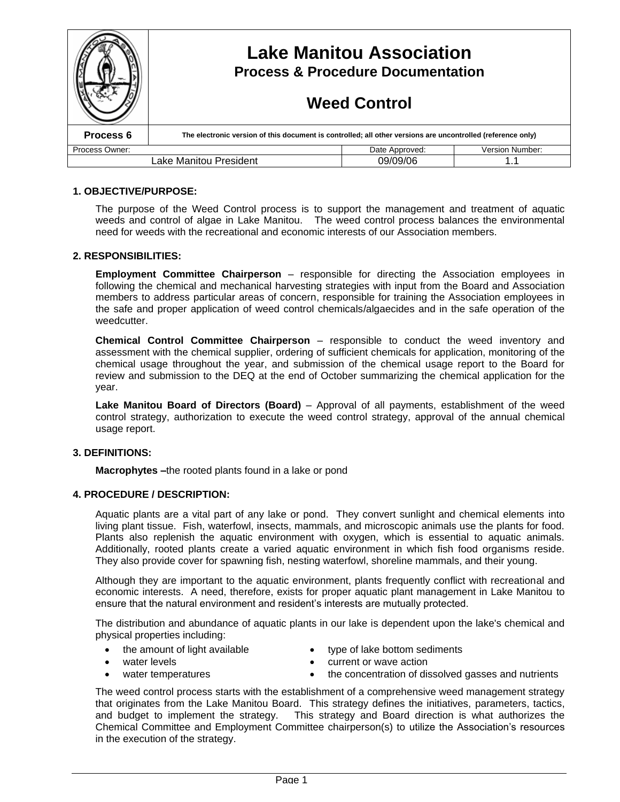|                                    | <b>Lake Manitou Association</b><br><b>Process &amp; Procedure Documentation</b><br><b>Weed Control</b>      |                |                 |
|------------------------------------|-------------------------------------------------------------------------------------------------------------|----------------|-----------------|
| Process 6                          | The electronic version of this document is controlled; all other versions are uncontrolled (reference only) |                |                 |
| Process Owner:                     |                                                                                                             | Date Approved: | Version Number: |
| 09/09/06<br>Lake Manitou President |                                                                                                             |                |                 |

## **1. OBJECTIVE/PURPOSE:**

The purpose of the Weed Control process is to support the management and treatment of aquatic weeds and control of algae in Lake Manitou. The weed control process balances the environmental need for weeds with the recreational and economic interests of our Association members.

### **2. RESPONSIBILITIES:**

**Employment Committee Chairperson** – responsible for directing the Association employees in following the chemical and mechanical harvesting strategies with input from the Board and Association members to address particular areas of concern, responsible for training the Association employees in the safe and proper application of weed control chemicals/algaecides and in the safe operation of the weedcutter.

**Chemical Control Committee Chairperson** – responsible to conduct the weed inventory and assessment with the chemical supplier, ordering of sufficient chemicals for application, monitoring of the chemical usage throughout the year, and submission of the chemical usage report to the Board for review and submission to the DEQ at the end of October summarizing the chemical application for the year.

**Lake Manitou Board of Directors (Board)** – Approval of all payments, establishment of the weed control strategy, authorization to execute the weed control strategy, approval of the annual chemical usage report.

#### **3. DEFINITIONS:**

**Macrophytes –**the rooted plants found in a lake or pond

#### **4. PROCEDURE / DESCRIPTION:**

Aquatic plants are a vital part of any lake or pond. They convert sunlight and chemical elements into living plant tissue. Fish, waterfowl, insects, mammals, and microscopic animals use the plants for food. Plants also replenish the aquatic environment with oxygen, which is essential to aquatic animals. Additionally, rooted plants create a varied aquatic environment in which fish food organisms reside. They also provide cover for spawning fish, nesting waterfowl, shoreline mammals, and their young.

Although they are important to the aquatic environment, plants frequently conflict with recreational and economic interests. A need, therefore, exists for proper aquatic plant management in Lake Manitou to ensure that the natural environment and resident's interests are mutually protected.

The distribution and abundance of aquatic plants in our lake is dependent upon the lake's chemical and physical properties including:

- the amount of light available
- type of lake bottom sediments

water levels

current or wave action

water temperatures

• the concentration of dissolved gasses and nutrients

The weed control process starts with the establishment of a comprehensive weed management strategy that originates from the Lake Manitou Board. This strategy defines the initiatives, parameters, tactics, and budget to implement the strategy. This strategy and Board direction is what authorizes the Chemical Committee and Employment Committee chairperson(s) to utilize the Association's resources in the execution of the strategy.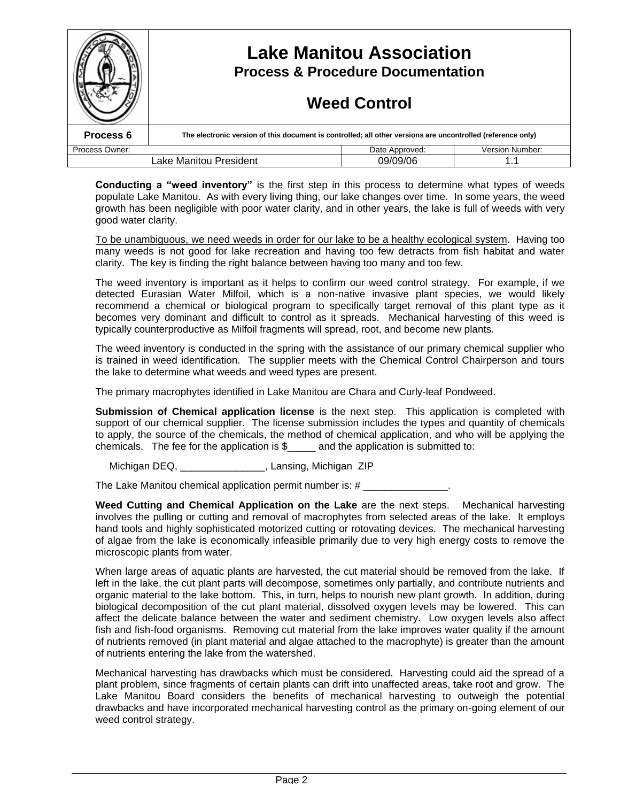|                                    |                                                                                                             | <b>Lake Manitou Association</b><br><b>Process &amp; Procedure Documentation</b><br><b>Weed Control</b> |                        |
|------------------------------------|-------------------------------------------------------------------------------------------------------------|--------------------------------------------------------------------------------------------------------|------------------------|
| Process 6                          | The electronic version of this document is controlled; all other versions are uncontrolled (reference only) |                                                                                                        |                        |
| Process Owner:                     |                                                                                                             | Date Approved:                                                                                         | <b>Version Number:</b> |
| Lake Manitou President<br>09/09/06 |                                                                                                             |                                                                                                        |                        |

**Conducting a "weed inventory"** is the first step in this process to determine what types of weeds populate Lake Manitou. As with every living thing, our lake changes over time. In some years, the weed growth has been negligible with poor water clarity, and in other years, the lake is full of weeds with very good water clarity.

To be unambiguous, we need weeds in order for our lake to be a healthy ecological system. Having too many weeds is not good for lake recreation and having too few detracts from fish habitat and water clarity. The key is finding the right balance between having too many and too few.

The weed inventory is important as it helps to confirm our weed control strategy. For example, if we detected Eurasian Water Milfoil, which is a non-native invasive plant species, we would likely recommend a chemical or biological program to specifically target removal of this plant type as it becomes very dominant and difficult to control as it spreads. Mechanical harvesting of this weed is typically counterproductive as Milfoil fragments will spread, root, and become new plants.

The weed inventory is conducted in the spring with the assistance of our primary chemical supplier who is trained in weed identification. The supplier meets with the Chemical Control Chairperson and tours the lake to determine what weeds and weed types are present.

The primary macrophytes identified in Lake Manitou are Chara and Curly-leaf Pondweed.

**Submission of Chemical application license** is the next step. This application is completed with support of our chemical supplier. The license submission includes the types and quantity of chemicals to apply, the source of the chemicals, the method of chemical application, and who will be applying the chemicals. The fee for the application is  $\frac{1}{2}$  and the application is submitted to:

Michigan DEQ, \_\_\_\_\_\_\_\_\_\_\_\_\_\_\_, Lansing, Michigan ZIP

The Lake Manitou chemical application permit number is: #

**Weed Cutting and Chemical Application on the Lake** are the next steps. Mechanical harvesting involves the pulling or cutting and removal of macrophytes from selected areas of the lake. It employs hand tools and highly sophisticated motorized cutting or rotovating devices. The mechanical harvesting of algae from the lake is economically infeasible primarily due to very high energy costs to remove the microscopic plants from water.

When large areas of aquatic plants are harvested, the cut material should be removed from the lake. If left in the lake, the cut plant parts will decompose, sometimes only partially, and contribute nutrients and organic material to the lake bottom. This, in turn, helps to nourish new plant growth. In addition, during biological decomposition of the cut plant material, dissolved oxygen levels may be lowered. This can affect the delicate balance between the water and sediment chemistry. Low oxygen levels also affect fish and fish-food organisms. Removing cut material from the lake improves water quality if the amount of nutrients removed (in plant material and algae attached to the macrophyte) is greater than the amount of nutrients entering the lake from the watershed.

Mechanical harvesting has drawbacks which must be considered. Harvesting could aid the spread of a plant problem, since fragments of certain plants can drift into unaffected areas, take root and grow. The Lake Manitou Board considers the benefits of mechanical harvesting to outweigh the potential drawbacks and have incorporated mechanical harvesting control as the primary on-going element of our weed control strategy.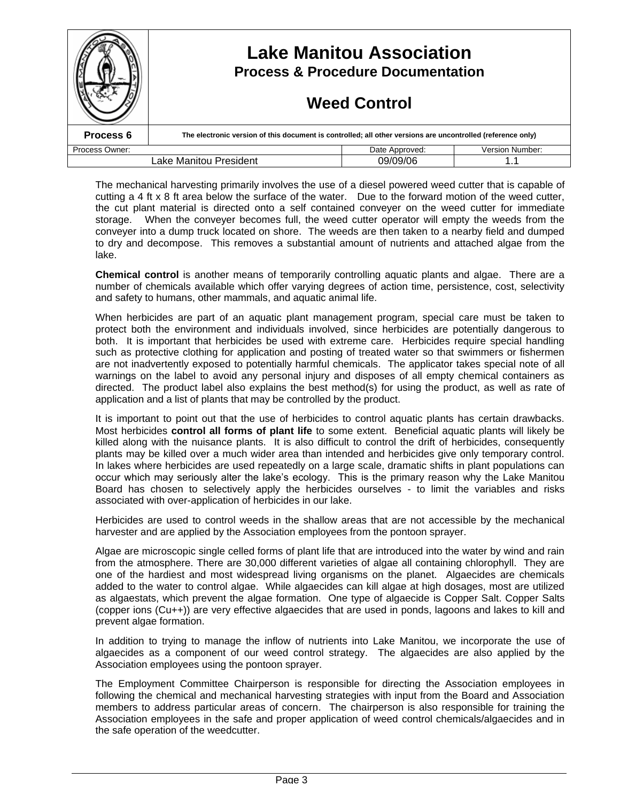|                        | <b>Lake Manitou Association</b><br><b>Process &amp; Procedure Documentation</b><br><b>Weed Control</b>      |                |                        |
|------------------------|-------------------------------------------------------------------------------------------------------------|----------------|------------------------|
| Process 6              | The electronic version of this document is controlled; all other versions are uncontrolled (reference only) |                |                        |
| Process Owner:         |                                                                                                             | Date Approved: | <b>Version Number:</b> |
| Lake Manitou President |                                                                                                             | 09/09/06       |                        |

The mechanical harvesting primarily involves the use of a diesel powered weed cutter that is capable of cutting a 4 ft x 8 ft area below the surface of the water. Due to the forward motion of the weed cutter, the cut plant material is directed onto a self contained conveyer on the weed cutter for immediate storage. When the conveyer becomes full, the weed cutter operator will empty the weeds from the conveyer into a dump truck located on shore. The weeds are then taken to a nearby field and dumped to dry and decompose. This removes a substantial amount of nutrients and attached algae from the lake.

**Chemical control** is another means of temporarily controlling aquatic plants and algae. There are a number of chemicals available which offer varying degrees of action time, persistence, cost, selectivity and safety to humans, other mammals, and aquatic animal life.

When herbicides are part of an aquatic plant management program, special care must be taken to protect both the environment and individuals involved, since herbicides are potentially dangerous to both. It is important that herbicides be used with extreme care. Herbicides require special handling such as protective clothing for application and posting of treated water so that swimmers or fishermen are not inadvertently exposed to potentially harmful chemicals. The applicator takes special note of all warnings on the label to avoid any personal injury and disposes of all empty chemical containers as directed. The product label also explains the best method(s) for using the product, as well as rate of application and a list of plants that may be controlled by the product.

It is important to point out that the use of herbicides to control aquatic plants has certain drawbacks. Most herbicides **control all forms of plant life** to some extent. Beneficial aquatic plants will likely be killed along with the nuisance plants. It is also difficult to control the drift of herbicides, consequently plants may be killed over a much wider area than intended and herbicides give only temporary control. In lakes where herbicides are used repeatedly on a large scale, dramatic shifts in plant populations can occur which may seriously alter the lake's ecology. This is the primary reason why the Lake Manitou Board has chosen to selectively apply the herbicides ourselves - to limit the variables and risks associated with over-application of herbicides in our lake.

Herbicides are used to control weeds in the shallow areas that are not accessible by the mechanical harvester and are applied by the Association employees from the pontoon sprayer.

Algae are microscopic single celled forms of plant life that are introduced into the water by wind and rain from the atmosphere. There are 30,000 different varieties of algae all containing chlorophyll. They are one of the hardiest and most widespread living organisms on the planet. Algaecides are chemicals added to the water to control algae. While algaecides can kill algae at high dosages, most are utilized as algaestats, which prevent the algae formation. One type of algaecide is Copper Salt. Copper Salts (copper ions (Cu++)) are very effective algaecides that are used in ponds, lagoons and lakes to kill and prevent algae formation.

In addition to trying to manage the inflow of nutrients into Lake Manitou, we incorporate the use of algaecides as a component of our weed control strategy. The algaecides are also applied by the Association employees using the pontoon sprayer.

The Employment Committee Chairperson is responsible for directing the Association employees in following the chemical and mechanical harvesting strategies with input from the Board and Association members to address particular areas of concern. The chairperson is also responsible for training the Association employees in the safe and proper application of weed control chemicals/algaecides and in the safe operation of the weedcutter.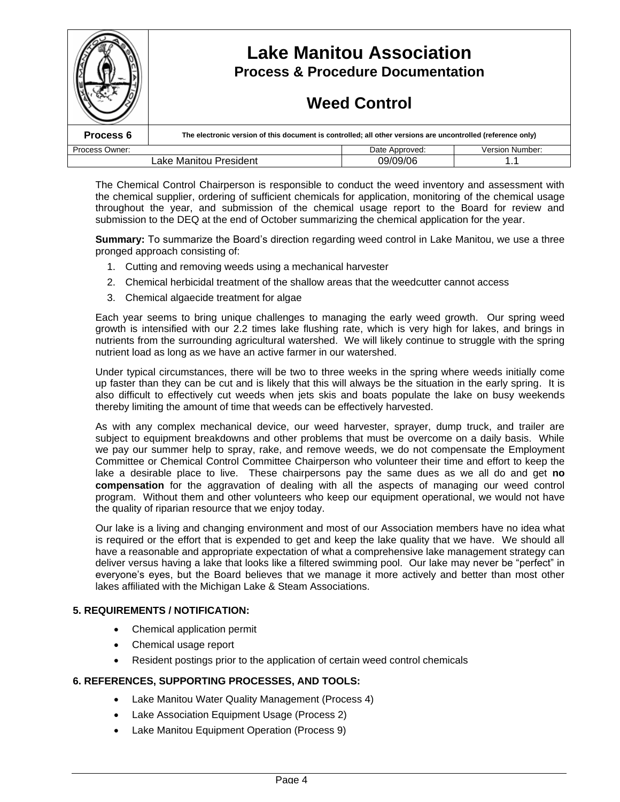|                                    | <b>Lake Manitou Association</b><br><b>Process &amp; Procedure Documentation</b><br><b>Weed Control</b>      |                |                        |
|------------------------------------|-------------------------------------------------------------------------------------------------------------|----------------|------------------------|
| Process 6                          | The electronic version of this document is controlled; all other versions are uncontrolled (reference only) |                |                        |
| Process Owner:                     |                                                                                                             | Date Approved: | <b>Version Number:</b> |
| Lake Manitou President<br>09/09/06 |                                                                                                             |                |                        |

The Chemical Control Chairperson is responsible to conduct the weed inventory and assessment with the chemical supplier, ordering of sufficient chemicals for application, monitoring of the chemical usage throughout the year, and submission of the chemical usage report to the Board for review and submission to the DEQ at the end of October summarizing the chemical application for the year.

**Summary:** To summarize the Board's direction regarding weed control in Lake Manitou, we use a three pronged approach consisting of:

- 1. Cutting and removing weeds using a mechanical harvester
- 2. Chemical herbicidal treatment of the shallow areas that the weedcutter cannot access
- 3. Chemical algaecide treatment for algae

Each year seems to bring unique challenges to managing the early weed growth. Our spring weed growth is intensified with our 2.2 times lake flushing rate, which is very high for lakes, and brings in nutrients from the surrounding agricultural watershed. We will likely continue to struggle with the spring nutrient load as long as we have an active farmer in our watershed.

Under typical circumstances, there will be two to three weeks in the spring where weeds initially come up faster than they can be cut and is likely that this will always be the situation in the early spring. It is also difficult to effectively cut weeds when jets skis and boats populate the lake on busy weekends thereby limiting the amount of time that weeds can be effectively harvested.

As with any complex mechanical device, our weed harvester, sprayer, dump truck, and trailer are subject to equipment breakdowns and other problems that must be overcome on a daily basis. While we pay our summer help to spray, rake, and remove weeds, we do not compensate the Employment Committee or Chemical Control Committee Chairperson who volunteer their time and effort to keep the lake a desirable place to live. These chairpersons pay the same dues as we all do and get **no compensation** for the aggravation of dealing with all the aspects of managing our weed control program. Without them and other volunteers who keep our equipment operational, we would not have the quality of riparian resource that we enjoy today.

Our lake is a living and changing environment and most of our Association members have no idea what is required or the effort that is expended to get and keep the lake quality that we have. We should all have a reasonable and appropriate expectation of what a comprehensive lake management strategy can deliver versus having a lake that looks like a filtered swimming pool. Our lake may never be "perfect" in everyone's eyes, but the Board believes that we manage it more actively and better than most other lakes affiliated with the Michigan Lake & Steam Associations.

## **5. REQUIREMENTS / NOTIFICATION:**

- Chemical application permit
- Chemical usage report
- Resident postings prior to the application of certain weed control chemicals

#### **6. REFERENCES, SUPPORTING PROCESSES, AND TOOLS:**

- Lake Manitou Water Quality Management (Process 4)
- Lake Association Equipment Usage (Process 2)
- Lake Manitou Equipment Operation (Process 9)